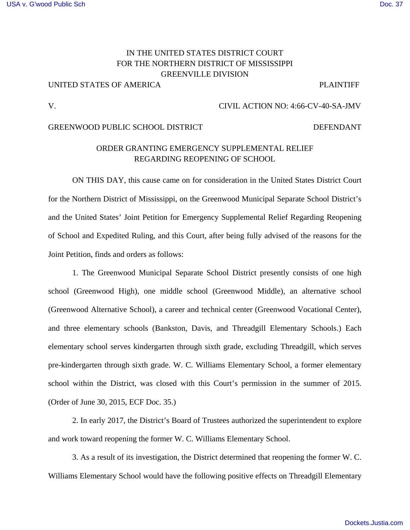### [USA v. G'wood Public Sch](https://dockets.justia.com/docket/mississippi/msndce/4:1966cv00040/18382/) [Doc. 37](https://docs.justia.com/cases/federal/district-courts/mississippi/msndce/4:1966cv00040/18382/37/)

# IN THE UNITED STATES DISTRICT COURT FOR THE NORTHERN DISTRICT OF MISSISSIPPI GREENVILLE DIVISION

## UNITED STATES OF AMERICA PLAINTIFF

### V. CIVIL ACTION NO: 4:66-CV-40-SA-JMV

### GREENWOOD PUBLIC SCHOOL DISTRICT **EXECUTES** DEFENDANT

# ORDER GRANTING EMERGENCY SUPPLEMENTAL RELIEF REGARDING REOPENING OF SCHOOL

ON THIS DAY, this cause came on for consideration in the United States District Court for the Northern District of Mississippi, on the Greenwood Municipal Separate School District's and the United States' Joint Petition for Emergency Supplemental Relief Regarding Reopening of School and Expedited Ruling, and this Court, after being fully advised of the reasons for the Joint Petition, finds and orders as follows:

1. The Greenwood Municipal Separate School District presently consists of one high school (Greenwood High), one middle school (Greenwood Middle), an alternative school (Greenwood Alternative School), a career and technical center (Greenwood Vocational Center), and three elementary schools (Bankston, Davis, and Threadgill Elementary Schools.) Each elementary school serves kindergarten through sixth grade, excluding Threadgill, which serves pre-kindergarten through sixth grade. W. C. Williams Elementary School, a former elementary school within the District, was closed with this Court's permission in the summer of 2015. (Order of June 30, 2015, ECF Doc. 35.)

2. In early 2017, the District's Board of Trustees authorized the superintendent to explore and work toward reopening the former W. C. Williams Elementary School.

3. As a result of its investigation, the District determined that reopening the former W. C. Williams Elementary School would have the following positive effects on Threadgill Elementary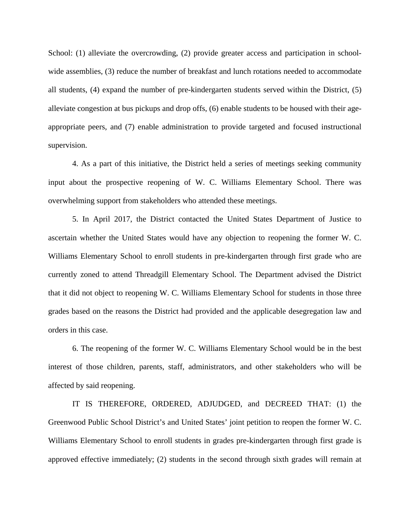School: (1) alleviate the overcrowding, (2) provide greater access and participation in schoolwide assemblies, (3) reduce the number of breakfast and lunch rotations needed to accommodate all students, (4) expand the number of pre-kindergarten students served within the District, (5) alleviate congestion at bus pickups and drop offs, (6) enable students to be housed with their ageappropriate peers, and (7) enable administration to provide targeted and focused instructional supervision.

4. As a part of this initiative, the District held a series of meetings seeking community input about the prospective reopening of W. C. Williams Elementary School. There was overwhelming support from stakeholders who attended these meetings.

5. In April 2017, the District contacted the United States Department of Justice to ascertain whether the United States would have any objection to reopening the former W. C. Williams Elementary School to enroll students in pre-kindergarten through first grade who are currently zoned to attend Threadgill Elementary School. The Department advised the District that it did not object to reopening W. C. Williams Elementary School for students in those three grades based on the reasons the District had provided and the applicable desegregation law and orders in this case.

6. The reopening of the former W. C. Williams Elementary School would be in the best interest of those children, parents, staff, administrators, and other stakeholders who will be affected by said reopening.

IT IS THEREFORE, ORDERED, ADJUDGED, and DECREED THAT: (1) the Greenwood Public School District's and United States' joint petition to reopen the former W. C. Williams Elementary School to enroll students in grades pre-kindergarten through first grade is approved effective immediately; (2) students in the second through sixth grades will remain at